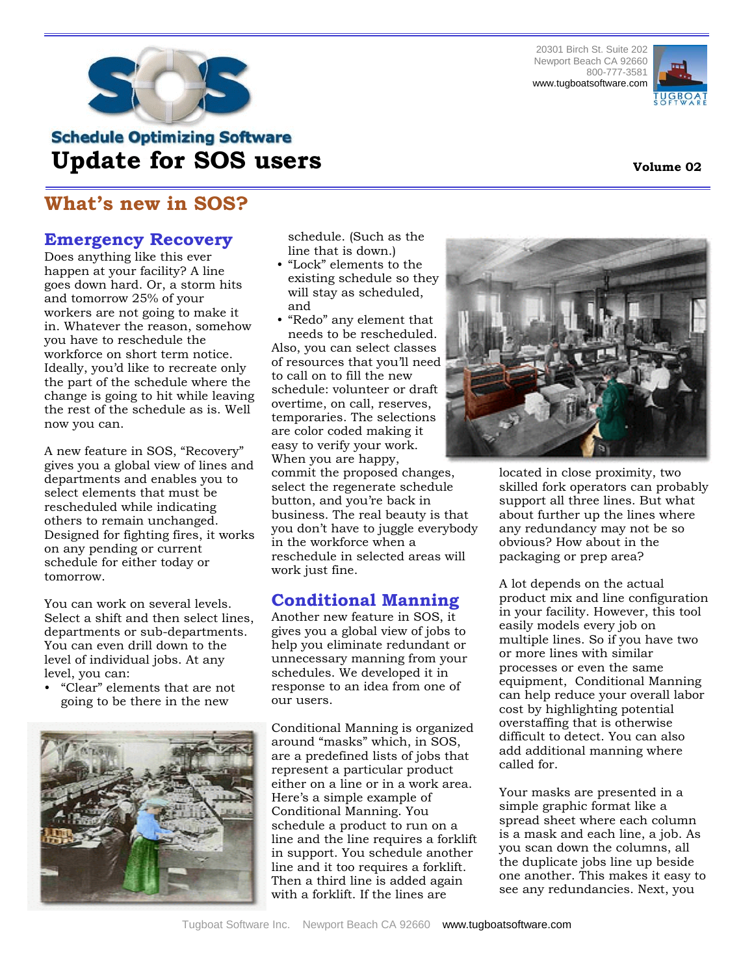

20301 Birch St. Suite 202 Newport Beach CA 92660 800-777-3581 www.tugboatsoftware.com



# **Schedule Optimizing Software Update for SOS users**

## **What's new in SOS?**

### **Emergency Recovery**

Does anything like this ever happen at your facility? A line goes down hard. Or, a storm hits and tomorrow 25% of your workers are not going to make it in. Whatever the reason, somehow you have to reschedule the workforce on short term notice. Ideally, you'd like to recreate only the part of the schedule where the change is going to hit while leaving the rest of the schedule as is. Well now you can.

A new feature in SOS, "Recovery" gives you a global view of lines and departments and enables you to select elements that must be rescheduled while indicating others to remain unchanged. Designed for fighting fires, it works on any pending or current schedule for either today or tomorrow.

You can work on several levels. Select a shift and then select lines, departments or sub-departments. You can even drill down to the level of individual jobs. At any level, you can:

• "Clear" elements that are not going to be there in the new



schedule. (Such as the line that is down.)

- "Lock" elements to the existing schedule so they will stay as scheduled, and
- "Redo" any element that needs to be rescheduled.

Also, you can select classes of resources that you'll need to call on to fill the new schedule: volunteer or draft overtime, on call, reserves, temporaries. The selections are color coded making it easy to verify your work. When you are happy, commit the proposed changes, select the regenerate schedule button, and you're back in business. The real beauty is that you don't have to juggle everybody in the workforce when a reschedule in selected areas will work just fine.

## **Conditional Manning**

Another new feature in SOS, it gives you a global view of jobs to help you eliminate redundant or unnecessary manning from your schedules. We developed it in response to an idea from one of our users.

Conditional Manning is organized around "masks" which, in SOS, are a predefined lists of jobs that represent a particular product either on a line or in a work area. Here's a simple example of Conditional Manning. You schedule a product to run on a line and the line requires a forklift in support. You schedule another line and it too requires a forklift. Then a third line is added again with a forklift. If the lines are



located in close proximity, two skilled fork operators can probably support all three lines. But what about further up the lines where any redundancy may not be so obvious? How about in the packaging or prep area?

A lot depends on the actual product mix and line configuration in your facility. However, this tool easily models every job on multiple lines. So if you have two or more lines with similar processes or even the same equipment, Conditional Manning can help reduce your overall labor cost by highlighting potential overstaffing that is otherwise difficult to detect. You can also add additional manning where called for.

Your masks are presented in a simple graphic format like a spread sheet where each column is a mask and each line, a job. As you scan down the columns, all the duplicate jobs line up beside one another. This makes it easy to see any redundancies. Next, you

#### **Volume 02**